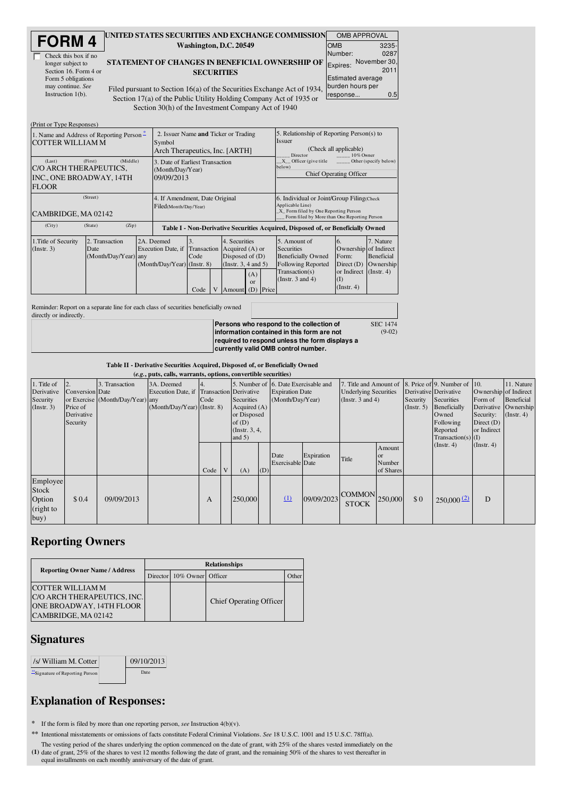| <b>FORM4</b> |
|--------------|
|--------------|

| Check this box if no  |
|-----------------------|
| longer subject to     |
| Section 16. Form 4 or |
| Form 5 obligations    |
| may continue. See     |
| Instruction $1(b)$ .  |

## UNITED STATES SECURITIES AND EXCHANGE COMMISSION OMB APPROVAL Washington, D.C. 20549

STATEMENT OF CHANGES IN BENEFICIAL OWNERSHIP OF **SECURITIES** 

| т | UMD APPRUVAL                                 |                      |  |  |  |  |  |  |  |
|---|----------------------------------------------|----------------------|--|--|--|--|--|--|--|
|   | <b>OMB</b>                                   | 3235-                |  |  |  |  |  |  |  |
|   | Number:                                      | 0287                 |  |  |  |  |  |  |  |
| F | Expires:                                     | November 30,<br>2011 |  |  |  |  |  |  |  |
|   | <b>Estimated average</b><br>burden hours per |                      |  |  |  |  |  |  |  |
|   | response                                     | 0.5                  |  |  |  |  |  |  |  |
|   |                                              |                      |  |  |  |  |  |  |  |

(9-02)

Filed pursuant to Section 16(a) of the Securities Exchange Act of 1934 Section 17(a) of the Public Utility Holding Company Act of 1935 or Section 30(h) of the Investment Company Act of 1940

| (Print or Type Responses)                                                              |                                                                                  |                                                                   |                                                                                  |  |                                                                                                                             |                                                                                                                                                        |  |                                                                                                                                        |                                                                                                 |                                                          |
|----------------------------------------------------------------------------------------|----------------------------------------------------------------------------------|-------------------------------------------------------------------|----------------------------------------------------------------------------------|--|-----------------------------------------------------------------------------------------------------------------------------|--------------------------------------------------------------------------------------------------------------------------------------------------------|--|----------------------------------------------------------------------------------------------------------------------------------------|-------------------------------------------------------------------------------------------------|----------------------------------------------------------|
| 1. Name and Address of Reporting Person –<br><b>COTTER WILLIAM M</b>                   | 2. Issuer Name and Ticker or Trading<br>Symbol<br>Arch Therapeutics, Inc. [ARTH] |                                                                   |                                                                                  |  |                                                                                                                             | 5. Relationship of Reporting Person(s) to<br><b>Issuer</b><br>(Check all applicable)<br>Director<br>10% Owner                                          |  |                                                                                                                                        |                                                                                                 |                                                          |
| (First)<br>(Last)<br>CO ARCH THERAPEUTICS.<br>INC., ONE BROADWAY, 14TH<br><b>FLOOR</b> | (Middle)<br>3. Date of Earliest Transaction<br>(Month/Day/Year)<br>09/09/2013    |                                                                   |                                                                                  |  |                                                                                                                             | X Officer (give title<br>Other (specify below)<br>below)<br><b>Chief Operating Officer</b>                                                             |  |                                                                                                                                        |                                                                                                 |                                                          |
| (Street)<br>CAMBRIDGE, MA 02142                                                        | 4. If Amendment, Date Original<br>Filed(Month/Day/Year)                          |                                                                   |                                                                                  |  |                                                                                                                             | 6. Individual or Joint/Group Filing(Check)<br>Applicable Line)<br>X Form filed by One Reporting Person<br>Form filed by More than One Reporting Person |  |                                                                                                                                        |                                                                                                 |                                                          |
| (City)                                                                                 | (Zip)<br>(State)                                                                 |                                                                   | Table I - Non-Derivative Securities Acquired, Disposed of, or Beneficially Owned |  |                                                                                                                             |                                                                                                                                                        |  |                                                                                                                                        |                                                                                                 |                                                          |
| 1. Title of Security<br>(Instr. 3)                                                     | 2. Transaction<br>Date<br>(Month/Day/Year) any                                   | 2A. Deemed<br>Execution Date, if<br>$(Month/Day/Year)$ (Instr. 8) | 3.<br>Transaction<br>Code<br>Code                                                |  | 4. Securities<br>Acquired $(A)$ or<br>Disposed of $(D)$<br>(Instr. 3, 4 and 5)<br>(A)<br>$\alpha$<br>Price<br>(D)<br>Amount |                                                                                                                                                        |  | 5. Amount of<br><b>Securities</b><br><b>Beneficially Owned</b><br><b>Following Reported</b><br>Transaction(s)<br>(Instr. $3$ and $4$ ) | 16.<br>Ownership of Indirect<br>Form:<br>Direct $(D)$<br>or Indirect<br>(I)<br>$($ Instr. 4 $)$ | 7. Nature<br>Beneficial<br>Ownership<br>$($ Instr. 4 $)$ |

Reminder: Report on a separate line for each class of securities beneficially owned directly or indirectly.

**Persons who respond to the collection of information contained in this form are not required to respond unless the form displays a currently valid OMB control number.** SEC 1474

Table II - Derivative Securities Acquired, Disposed of, or Beneficially Owned

|                                                     | (e.g., puts, calls, warrants, options, convertible securities) |                                                    |                                                                                        |      |  |                                                                                                                     |     |                                            |            |                                                                                 |                                            |                        |                                                                                                                       |                                                                              |                                                                             |
|-----------------------------------------------------|----------------------------------------------------------------|----------------------------------------------------|----------------------------------------------------------------------------------------|------|--|---------------------------------------------------------------------------------------------------------------------|-----|--------------------------------------------|------------|---------------------------------------------------------------------------------|--------------------------------------------|------------------------|-----------------------------------------------------------------------------------------------------------------------|------------------------------------------------------------------------------|-----------------------------------------------------------------------------|
| 1. Title of<br>Derivative<br>Security<br>(Instr. 3) | <b>Conversion</b> Date<br>Price of<br>Derivative<br>Security   | 3. Transaction<br>or Exercise (Month/Day/Year) any | 3A. Deemed<br>Execution Date, if Transaction Derivative<br>(Month/Day/Year) (Instr. 8) | Code |  | 5. Number of 6. Date Exercisable and<br>Securities<br>Acquired $(A)$<br>or Disposed<br>of $(D)$<br>(Instr. $3, 4$ , |     | <b>Expiration Date</b><br>(Month/Day/Year) |            | 7. Title and Amount of<br><b>Underlying Securities</b><br>(Instr. $3$ and $4$ ) |                                            | Security<br>(Instr. 5) | 8. Price of 9. Number of 10.<br>Derivative Derivative<br>Securities<br>Beneficially<br>Owned<br>Following<br>Reported | Ownership of Indirect<br>Form of<br>Security:<br>Direct $(D)$<br>or Indirect | 11. Nature<br><b>Beneficial</b><br>Derivative Ownership<br>$($ Instr. 4 $)$ |
|                                                     |                                                                |                                                    |                                                                                        | Code |  | and $5)$<br>(A)                                                                                                     | (D) | Date<br><b>Exercisable</b> Date            | Expiration | Title                                                                           | Amount<br><b>or</b><br>Number<br>of Shares |                        | $Transaction(s)$ (I)<br>(Instr. 4)                                                                                    | $($ Instr. 4 $)$                                                             |                                                                             |
| Employee<br>Stock<br>Option<br>(right to<br>buy)    | \$0.4                                                          | 09/09/2013                                         |                                                                                        | A    |  | 250,000                                                                                                             |     | $\Omega$                                   | 09/09/2023 | <b>COMMON</b><br><b>STOCK</b>                                                   | 250,000                                    | \$0                    | 250,000(2)                                                                                                            | D                                                                            |                                                                             |

## Reporting Owners

| <b>Reporting Owner Name / Address</b>                                                                     | <b>Relationships</b> |                            |                         |       |  |  |  |  |
|-----------------------------------------------------------------------------------------------------------|----------------------|----------------------------|-------------------------|-------|--|--|--|--|
|                                                                                                           |                      | Director 10% Owner Officer |                         | )ther |  |  |  |  |
| <b>COTTER WILLIAM M</b><br>C/O ARCH THERAPEUTICS, INC.<br>ONE BROADWAY, 14TH FLOOR<br>CAMBRIDGE, MA 02142 |                      |                            | Chief Operating Officer |       |  |  |  |  |

## **Signatures**

| /s/ William M. Cotter          | 09/10/2013 |  |
|--------------------------------|------------|--|
| "Signature of Reporting Person | Date:      |  |

## Explanation of Responses:

\* If the form is filed by more than one reporting person, *see* Instruction 4(b)(v).

\*\* Intentional misstatements or omissions of facts constitute Federal Criminal Violations. *See* 18 U.S.C. 1001 and 15 U.S.C. 78ff(a).

The vesting period of the shares underlying the option commenced on the date of grant, with 25% of the shares vested immediately on the (1) date of grant, 25% of the shares to vest 12 months following the date of grant, an date of grant, 25% of the shares to vest 12 months following the date of grant, and the remaining 50% of the shares to vest thereafter in equal installments on each monthly anniversary of the date of grant.